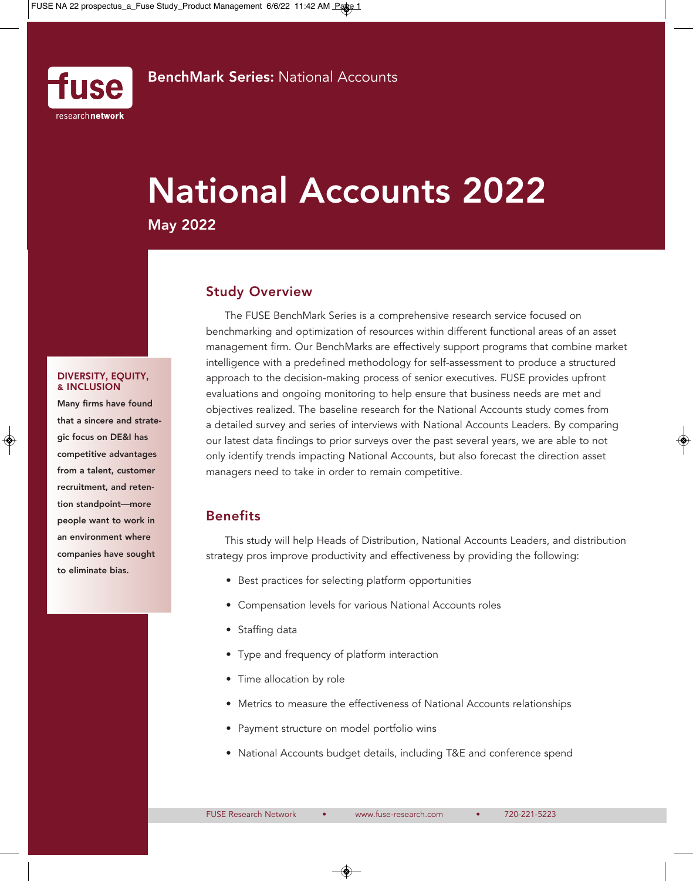

# **National Accounts 2022**

**May 2022**

# **Study Overview**

The FUSE BenchMark Series is a comprehensive research service focused on benchmarking and optimization of resources within different functional areas of an asset management firm. Our BenchMarks are effectively support programs that combine market intelligence with a predefined methodology for self-assessment to produce a structured approach to the decision-making process of senior executives. FUSE provides upfront evaluations and ongoing monitoring to help ensure that business needs are met and objectives realized. The baseline research for the National Accounts study comes from a detailed survey and series of interviews with National Accounts Leaders. By comparing our latest data findings to prior surveys over the past several years, we are able to not only identify trends impacting National Accounts, but also forecast the direction asset managers need to take in order to remain competitive.

# **Benefits**

This study will help Heads of Distribution, National Accounts Leaders, and distribution strategy pros improve productivity and effectiveness by providing the following:

- Best practices for selecting platform opportunities
- Compensation levels for various National Accounts roles
- Staffing data
- Type and frequency of platform interaction
- Time allocation by role
- Metrics to measure the effectiveness of National Accounts relationships
- Payment structure on model portfolio wins
- National Accounts budget details, including T&E and conference spend

#### **DIVERSITY, EQUITY, & INCLUSION**

**Many firms have found that a sincere and strategic focus on DE&I has competitive advantages from a talent, customer recruitment, and retention standpoint—more people want to work in an environment where companies have sought to eliminate bias.**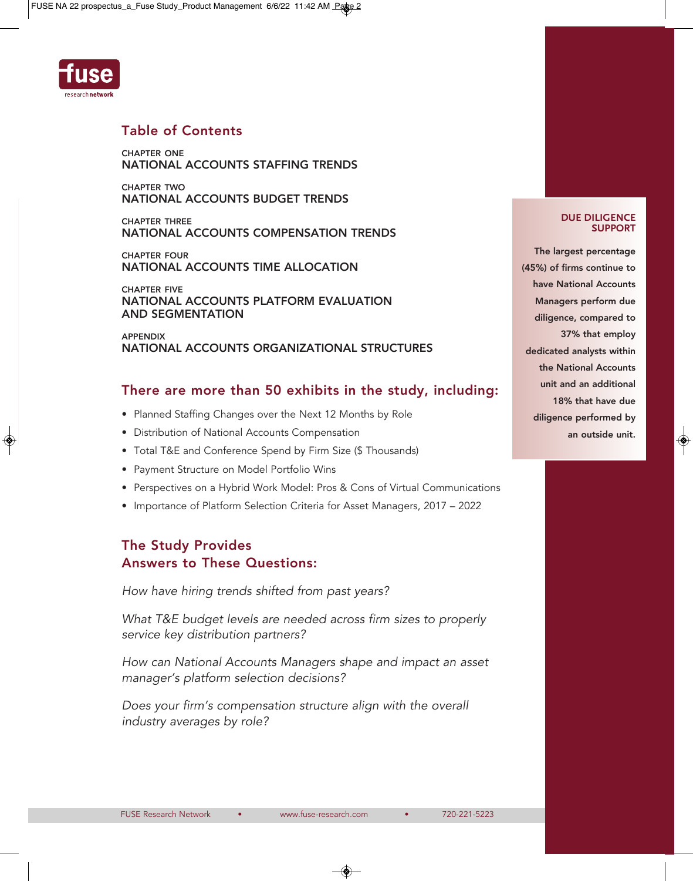

# **Table of Contents**

**ChApTEr ONE NATIONAL ACCOUNTS STAFFING TrENDS**

**ChApTEr TwO NATIONAL ACCOUNTS BUDGET TrENDS**

**ChApTEr ThrEE NATIONAL ACCOUNTS COMpENSATION TrENDS**

**ChApTEr FOUr NATIONAL ACCOUNTS TIME ALLOCATION**

**ChApTEr FIvE NATIONAL ACCOUNTS pLATFOrM EvALUATION AND SEGMENTATION**

**AppENDIx NATIONAL ACCOUNTS OrGANIZATIONAL STrUCTUrES**

# **There are more than 50 exhibits in the study, including:**

- Planned Staffing Changes over the Next 12 Months by Role
- Distribution of National Accounts Compensation
- Total T&E and Conference Spend by Firm Size (\$ Thousands)
- Payment Structure on Model Portfolio Wins
- Perspectives on a Hybrid Work Model: Pros & Cons of Virtual Communications
- Importance of Platform Selection Criteria for Asset Managers, 2017 2022

# **The Study provides Answers to These Questions:**

How have hiring trends shifted from past years?

What T&E budget levels are needed across firm sizes to properly service key distribution partners?

How can National Accounts Managers shape and impact an asset manager's platform selection decisions?

Does your firm's compensation structure align with the overall industry averages by role?

#### **DUE DILIGENCE SUPPORT**

**The largest percentage (45%) of firms continue to have National Accounts Managers perform due diligence, compared to 37% that employ dedicated analysts within the National Accounts unit and an additional 18% that have due diligence performed by an outside unit.**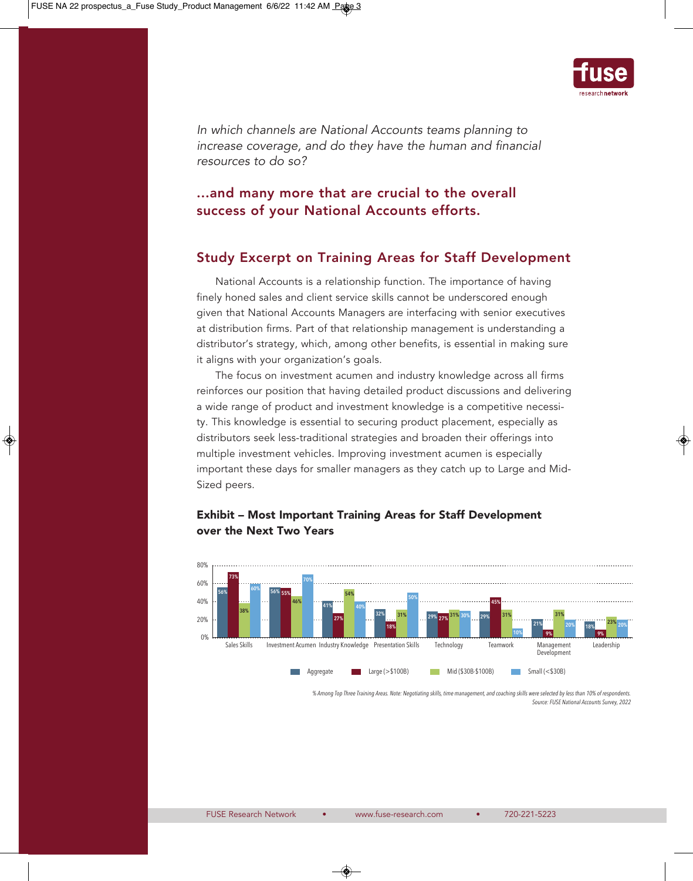

In which channels are National Accounts teams planning to increase coverage, and do they have the human and financial resources to do so?

# **...and many more that are crucial to the overall success of your National Accounts efforts.**

## **Study Excerpt on Training Areas for Staff Development**

National Accounts is a relationship function. The importance of having finely honed sales and client service skills cannot be underscored enough given that National Accounts Managers are interfacing with senior executives at distribution firms. Part of that relationship management is understanding a distributor's strategy, which, among other benefits, is essential in making sure it aligns with your organization's goals.

The focus on investment acumen and industry knowledge across all firms reinforces our position that having detailed product discussions and delivering a wide range of product and investment knowledge is a competitive necessity. This knowledge is essential to securing product placement, especially as distributors seek less-traditional strategies and broaden their offerings into multiple investment vehicles. Improving investment acumen is especially important these days for smaller managers as they catch up to Large and Mid-Sized peers.



### **Exhibit – Most Important Training Areas for Staff Development over the Next Two Years**

% Among Top Three Training Areas. Note: Negotiating skills, time management, and coaching skills were selected by less than 10% of respondents *Source:FUSE National Accounts Survey, 2022*